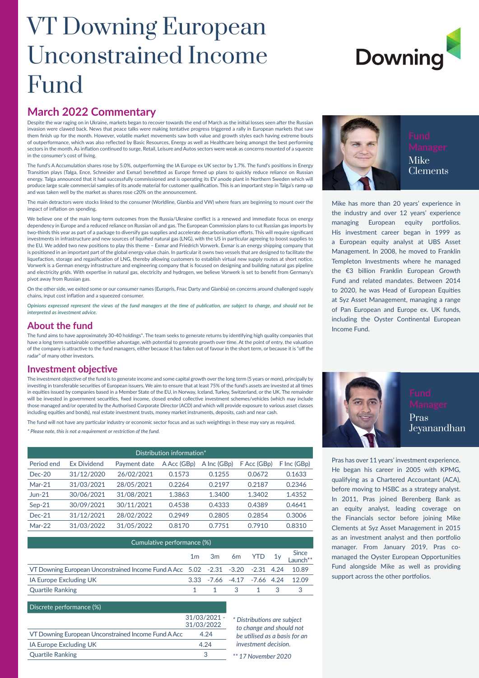## VT Downing European Unconstrained Income Fund

# **Downing**

#### **March 2022 Commentary**

Despite the war raging on in Ukraine, markets began to recover towards the end of March as the initial losses seen after the Russian invasion were clawed back. News that peace talks were making tentative progress triggered a rally in European markets that saw them finish up for the month. However, volatile market movements saw both value and growth styles each having extreme bouts of outperformance, which was also reflected by Basic Resources, Energy as well as Healthcare being amongst the best performing sectors in the month. As inflation continued to surge, Retail, Leisure and Autos sectors were weak as concerns mounted of a squeeze in the consumer's cost of living.

The fund's A Accumulation shares rose by 5.0%, outperforming the IA Europe ex UK sector by 1.7%. The fund's positions in Energy Transition plays (Talga, Ence, Schneider and Exmar) benefitted as Europe firmed up plans to quickly reduce reliance on Russian energy. Talga announced that it had successfully commissioned and is operating its EV anode plant in Northern Sweden which will produce large scale commercial samples of its anode material for customer qualification. This is an important step in Talga's ramp up and was taken well by the market as shares rose c20% on the announcement.

The main detractors were stocks linked to the consumer (Worldline, Glanbia and VW) where fears are beginning to mount over the impact of inflation on spending.

We believe one of the main long-term outcomes from the Russia/Ukraine conflict is a renewed and immediate focus on energy dependency in Europe and a reduced reliance on Russian oil and gas. The European Commission plans to cut Russian gas imports by two-thirds this year as part of a package to diversify gas supplies and accelerate decarbonisation efforts. This will require significant investments in infrastructure and new sources of liquified natural gas (LNG), with the US in particular agreeing to boost supplies to the EU. We added two new positions to play this theme – Exmar and Friedrich Vorwerk. Exmar is an energy shipping company that is positioned in an important part of the global energy value chain. In particular it owns two vessels that are designed to facilitate the liquefaction, storage and regasification of LNG, thereby allowing customers to establish virtual new supply routes at short notice. Vorwerk is a German energy infrastructure and engineering company that is focused on designing and building natural gas pipeline and electricity grids. With expertise in natural gas, electricity and hydrogen, we believe Vorwerk is set to benefit from Germany's pivot away from Russian gas.

On the other side, we exited some or our consumer names (Europris, Fnac Darty and Glanbia) on concerns around challenged supply chains, input cost inflation and a squeezed consumer.

*Opinions expressed represent the views of the fund managers at the time of publication, are subject to change, and should not be interpreted as investment advice.*

#### **About the fund**

The fund aims to have approximately 30-40 holdings\*. The team seeks to generate returns by identifying high quality companies that have a long term sustainable competitive advantage, with potential to generate growth over time. At the point of entry, the valuation of the company is attractive to the fund managers, either because it has fallen out of favour in the short term, or because it is "off the radar" of many other investors.

#### **Investment objective**

The investment objective of the fund is to generate income and some capital growth over the long term (5 years or more), principally by investing in transferable securities of European issuers. We aim to ensure that at least 75% of the fund's assets are invested at all times in equities issued by companies based in a Member State of the EU, in Norway, Iceland, Turkey, Switzerland, or the UK. The remainder will be invested in government securities, fixed income, closed ended collective investment schemes/vehicles (which may include those managed and/or operated by the Authorised Corporate Director (ACD) and which will provide exposure to various asset classes including equities and bonds), real estate investment trusts, money market instruments, deposits, cash and near cash.

The fund will not have any particular industry or economic sector focus and as such weightings in these may vary as required. *\* Please note, this is not a requirement or restriction of the fund.*

| Distribution information* |                    |              |             |             |             |             |  |  |  |
|---------------------------|--------------------|--------------|-------------|-------------|-------------|-------------|--|--|--|
| Period end                | <b>Ex Dividend</b> | Payment date | A Acc (GBp) | A Inc (GBp) | F Acc (GBp) | F Inc (GBp) |  |  |  |
| $Dec-20$                  | 31/12/2020         | 26/02/2021   | 0.1573      | 0.1255      | 0.0672      | 0.1633      |  |  |  |
| $Mar-21$                  | 31/03/2021         | 28/05/2021   | 0.2264      | 0.2197      | 0.2187      | 0.2346      |  |  |  |
| $Jun-21$                  | 30/06/2021         | 31/08/2021   | 1.3863      | 1.3400      | 1.3402      | 1.4352      |  |  |  |
| $Sep-21$                  | 30/09/2021         | 30/11/2021   | 0.4538      | 0.4333      | 0.4389      | 0.4641      |  |  |  |
| $Dec-21$                  | 31/12/2021         | 28/02/2022   | 0.2949      | 0.2805      | 0.2854      | 0.3006      |  |  |  |
| $Mar-22$                  | 31/03/2022         | 31/05/2022   | 0.8170      | 0.7751      | 0.7910      | 0.8310      |  |  |  |

| Cumulative performance (%)                                                            |  |  |           |  |  |                                       |  |  |
|---------------------------------------------------------------------------------------|--|--|-----------|--|--|---------------------------------------|--|--|
|                                                                                       |  |  |           |  |  | $1m$ 3m 6m YTD $1y$ Since<br>Launch** |  |  |
| VT Downing European Unconstrained Income Fund A Acc 5.02 -2.31 -3.20 -2.31 4.24 10.89 |  |  |           |  |  |                                       |  |  |
| IA Europe Excluding UK                                                                |  |  |           |  |  | 3.33 -7.66 -4.17 -7.66 4.24 12.09     |  |  |
| <b>Quartile Ranking</b>                                                               |  |  | 1 1 3 1 3 |  |  |                                       |  |  |

Quartile Ranking 3 *\*\* 17 November 2020*

*\* Distributions are subject to change and should not be utilised as a basis for an investment decision.*

#### Discrete performance (%)

|                                                     | $31/03/2021 -$ |
|-----------------------------------------------------|----------------|
|                                                     | 31/03/2022     |
| VT Downing European Unconstrained Income Fund A Acc | 4.24           |
| IA Europe Excluding UK                              | 4 24           |
| <b>Quartile Ranking</b>                             |                |

Mike Clements

Mike has more than 20 years' experience in the industry and over 12 years' experience managing European equity portfolios. His investment career began in 1999 as a European equity analyst at UBS Asset Management. In 2008, he moved to Franklin Templeton Investments where he managed the €3 billion Franklin European Growth Fund and related mandates. Between 2014 to 2020, he was Head of European Equities at Syz Asset Management, managing a range of Pan European and Europe ex. UK funds, including the Oyster Continental European Income Fund.



Pras has over 11 years' investment experience. He began his career in 2005 with KPMG, qualifying as a Chartered Accountant (ACA), before moving to HSBC as a strategy analyst. In 2011, Pras joined Berenberg Bank as an equity analyst, leading coverage on the Financials sector before joining Mike Clements at Syz Asset Management in 2015 as an investment analyst and then portfolio manager. From January 2019, Pras comanaged the Oyster European Opportunities Fund alongside Mike as well as providing support across the other portfolios.